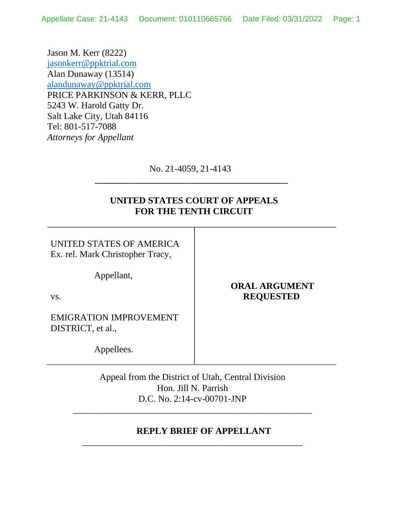Jason M. Kerr (8222) [jasonkerr@ppktrial.com](mailto:jasonkerr@ppktrial.com) Alan Dunaway (13514) [alandunaway@ppktrial.com](mailto:alandunaway@ppktrial.com) PRICE PARKINSON & KERR, PLLC 5243 W. Harold Gatty Dr. Salt Lake City, Utah 84116 Tel: 801-517-7088 *Attorneys for Appellant*

No. 21-4059, 21-4143

 **\_\_\_\_\_\_\_\_\_\_\_\_\_\_\_\_\_\_\_\_\_\_\_\_\_\_\_\_\_\_\_\_\_\_\_\_\_\_\_\_\_\_** 

# **UNITED STATES COURT OF APPEALS FOR THE TENTH CIRCUIT**

UNITED STATES OF AMERICA Ex. rel. Mark Christopher Tracy,

Appellant,

vs.

EMIGRATION IMPROVEMENT DISTRICT, et al.,

Appellees.

Appeal from the District of Utah, Central Division Hon. Jill N. Parrish D.C. No. 2:14-cv-00701-JNP

\_\_\_\_\_\_\_\_\_\_\_\_\_\_\_\_\_\_\_\_\_\_\_\_\_\_\_\_\_\_\_\_\_\_\_\_\_\_\_\_\_\_\_\_\_\_\_\_\_\_\_\_

\_\_\_\_\_\_\_\_\_\_\_\_\_\_\_\_\_\_\_\_\_\_\_\_\_\_\_\_\_\_\_\_\_\_\_\_\_\_\_\_\_\_\_\_\_\_\_\_

### **REPLY BRIEF OF APPELLANT**

# **ORAL ARGUMENT REQUESTED**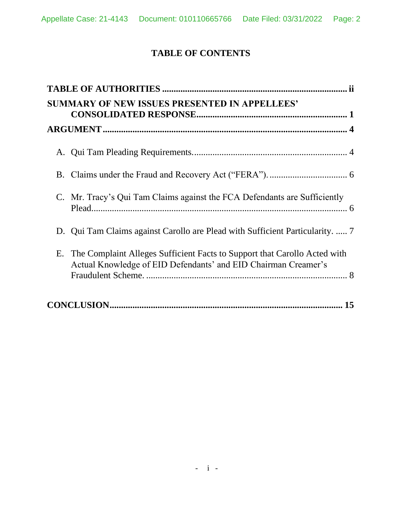# **TABLE OF CONTENTS**

| <b>SUMMARY OF NEW ISSUES PRESENTED IN APPELLEES'</b>                                                                                           |
|------------------------------------------------------------------------------------------------------------------------------------------------|
|                                                                                                                                                |
|                                                                                                                                                |
|                                                                                                                                                |
| C. Mr. Tracy's Qui Tam Claims against the FCA Defendants are Sufficiently                                                                      |
| D. Qui Tam Claims against Carollo are Plead with Sufficient Particularity.  7                                                                  |
| E. The Complaint Alleges Sufficient Facts to Support that Carollo Acted with<br>Actual Knowledge of EID Defendants' and EID Chairman Creamer's |
|                                                                                                                                                |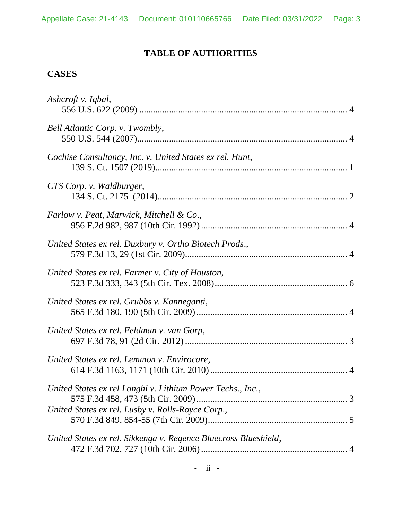# **TABLE OF AUTHORITIES**

# <span id="page-2-0"></span>**CASES**

| Ashcroft v. Iqbal,                                              |  |
|-----------------------------------------------------------------|--|
| Bell Atlantic Corp. v. Twombly,                                 |  |
| Cochise Consultancy, Inc. v. United States ex rel. Hunt,        |  |
| CTS Corp. v. Waldburger,                                        |  |
| Farlow v. Peat, Marwick, Mitchell & Co.,                        |  |
| United States ex rel. Duxbury v. Ortho Biotech Prods.,          |  |
| United States ex rel. Farmer v. City of Houston,                |  |
| United States ex rel. Grubbs v. Kanneganti,                     |  |
| United States ex rel. Feldman v. van Gorp,                      |  |
| United States ex rel. Lemmon v. Envirocare,                     |  |
| United States ex rel Longhi v. Lithium Power Techs., Inc.,      |  |
| United States ex rel. Lusby v. Rolls-Royce Corp.,               |  |
| United States ex rel. Sikkenga v. Regence Bluecross Blueshield, |  |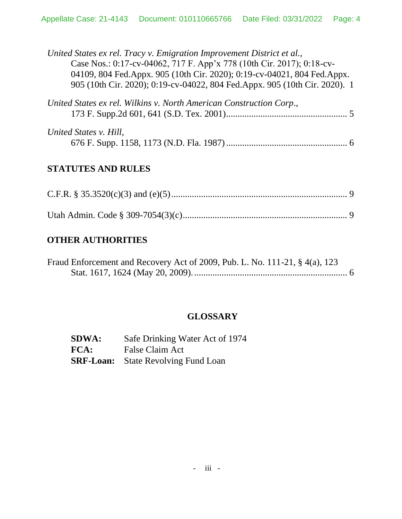| United States ex rel. Tracy v. Emigration Improvement District et al.,<br>Case Nos.: 0:17-cv-04062, 717 F. App'x 778 (10th Cir. 2017); 0:18-cv-<br>04109, 804 Fed.Appx. 905 (10th Cir. 2020); 0:19-cv-04021, 804 Fed.Appx.<br>905 (10th Cir. 2020); 0:19-cv-04022, 804 Fed.Appx. 905 (10th Cir. 2020). 1 |
|----------------------------------------------------------------------------------------------------------------------------------------------------------------------------------------------------------------------------------------------------------------------------------------------------------|
| United States ex rel. Wilkins v. North American Construction Corp.,                                                                                                                                                                                                                                      |
| United States v. Hill,                                                                                                                                                                                                                                                                                   |

# **STATUTES AND RULES**

# **OTHER AUTHORITIES**

| Fraud Enforcement and Recovery Act of 2009, Pub. L. No. 111-21, § 4(a), 123 |  |
|-----------------------------------------------------------------------------|--|
|                                                                             |  |

# **GLOSSARY**

| <b>SDWA:</b> | Safe Drinking Water Act of 1974            |
|--------------|--------------------------------------------|
| FCA:         | False Claim Act                            |
|              | <b>SRF-Loan:</b> State Revolving Fund Loan |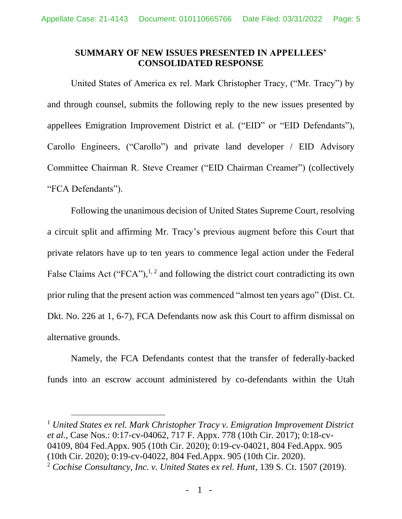### <span id="page-4-0"></span>**SUMMARY OF NEW ISSUES PRESENTED IN APPELLEES' CONSOLIDATED RESPONSE**

United States of America ex rel. Mark Christopher Tracy, ("Mr. Tracy") by and through counsel, submits the following reply to the new issues presented by appellees Emigration Improvement District et al. ("EID" or "EID Defendants"), Carollo Engineers, ("Carollo") and private land developer / EID Advisory Committee Chairman R. Steve Creamer ("EID Chairman Creamer") (collectively "FCA Defendants").

Following the unanimous decision of United States Supreme Court, resolving a circuit split and affirming Mr. Tracy's previous augment before this Court that private relators have up to ten years to commence legal action under the Federal False Claims Act ("FCA"), $^{1, 2}$  and following the district court contradicting its own prior ruling that the present action was commenced "almost ten years ago" (Dist. Ct. Dkt. No. 226 at 1, 6-7), FCA Defendants now ask this Court to affirm dismissal on alternative grounds.

Namely, the FCA Defendants contest that the transfer of federally-backed funds into an escrow account administered by co-defendants within the Utah

<sup>1</sup> *United States ex rel. Mark Christopher Tracy v. Emigration Improvement District et al.,* Case Nos.: 0:17-cv-04062, 717 F. Appx. 778 (10th Cir. 2017); 0:18-cv-04109, 804 Fed.Appx. 905 (10th Cir. 2020); 0:19-cv-04021, 804 Fed.Appx. 905 (10th Cir. 2020); 0:19-cv-04022, 804 Fed.Appx. 905 (10th Cir. 2020). <sup>2</sup> *Cochise Consultancy, Inc. v. United States ex rel. Hunt*, 139 S. Ct. 1507 (2019).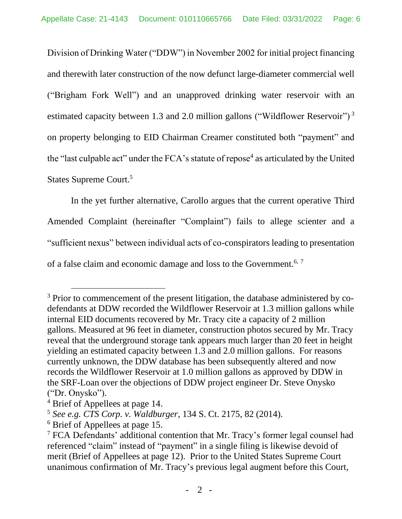Division of Drinking Water ("DDW") in November 2002 for initial project financing and therewith later construction of the now defunct large-diameter commercial well ("Brigham Fork Well") and an unapproved drinking water reservoir with an estimated capacity between 1.3 and 2.0 million gallons ("Wildflower Reservoir")<sup>3</sup> on property belonging to EID Chairman Creamer constituted both "payment" and the "last culpable act" under the FCA's statute of repose<sup>4</sup> as articulated by the United States Supreme Court.<sup>5</sup>

In the yet further alternative, Carollo argues that the current operative Third Amended Complaint (hereinafter "Complaint") fails to allege scienter and a "sufficient nexus" between individual acts of co-conspirators leading to presentation of a false claim and economic damage and loss to the Government.<sup>6, 7</sup>

<sup>&</sup>lt;sup>3</sup> Prior to commencement of the present litigation, the database administered by codefendants at DDW recorded the Wildflower Reservoir at 1.3 million gallons while internal EID documents recovered by Mr. Tracy cite a capacity of 2 million gallons. Measured at 96 feet in diameter, construction photos secured by Mr. Tracy reveal that the underground storage tank appears much larger than 20 feet in height yielding an estimated capacity between 1.3 and 2.0 million gallons. For reasons currently unknown, the DDW database has been subsequently altered and now records the Wildflower Reservoir at 1.0 million gallons as approved by DDW in the SRF-Loan over the objections of DDW project engineer Dr. Steve Onysko ("Dr. Onysko").

<sup>4</sup> Brief of Appellees at page 14.

<sup>5</sup> *See e.g. CTS Corp. v. Waldburger*, 134 S. Ct. 2175, 82 (2014).

<sup>6</sup> Brief of Appellees at page 15.

<sup>7</sup> FCA Defendants' additional contention that Mr. Tracy's former legal counsel had referenced "claim" instead of "payment" in a single filing is likewise devoid of merit (Brief of Appellees at page 12). Prior to the United States Supreme Court unanimous confirmation of Mr. Tracy's previous legal augment before this Court,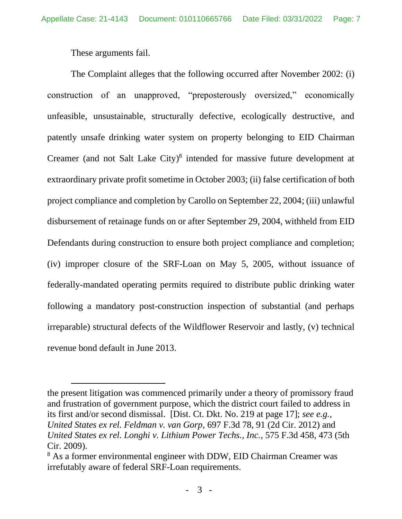These arguments fail.

The Complaint alleges that the following occurred after November 2002: (i) construction of an unapproved, "preposterously oversized," economically unfeasible, unsustainable, structurally defective, ecologically destructive, and patently unsafe drinking water system on property belonging to EID Chairman Creamer (and not Salt Lake City) 8 intended for massive future development at extraordinary private profit sometime in October 2003; (ii) false certification of both project compliance and completion by Carollo on September 22, 2004; (iii) unlawful disbursement of retainage funds on or after September 29, 2004, withheld from EID Defendants during construction to ensure both project compliance and completion; (iv) improper closure of the SRF-Loan on May 5, 2005, without issuance of federally-mandated operating permits required to distribute public drinking water following a mandatory post-construction inspection of substantial (and perhaps irreparable) structural defects of the Wildflower Reservoir and lastly, (v) technical revenue bond default in June 2013.

the present litigation was commenced primarily under a theory of promissory fraud and frustration of government purpose, which the district court failed to address in its first and/or second dismissal. [Dist. Ct. Dkt. No. 219 at page 17]; *see e.g., United States ex rel. Feldman v. van Gorp*, 697 F.3d 78, 91 (2d Cir. 2012) and *United States ex rel. Longhi v. Lithium Power Techs., Inc.*, 575 F.3d 458, 473 (5th Cir. 2009).

<sup>&</sup>lt;sup>8</sup> As a former environmental engineer with DDW, EID Chairman Creamer was irrefutably aware of federal SRF-Loan requirements.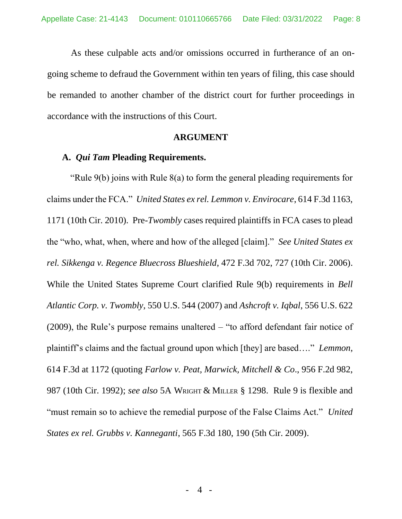As these culpable acts and/or omissions occurred in furtherance of an ongoing scheme to defraud the Government within ten years of filing, this case should be remanded to another chamber of the district court for further proceedings in accordance with the instructions of this Court.

#### **ARGUMENT**

#### <span id="page-7-1"></span><span id="page-7-0"></span>**A.** *Qui Tam* **Pleading Requirements.**

"Rule 9(b) joins with Rule 8(a) to form the general pleading requirements for claims under the FCA." *United States ex rel. Lemmon v. Envirocare*, 614 F.3d 1163, 1171 (10th Cir. 2010). Pre-*Twombly* cases required plaintiffs in FCA cases to plead the "who, what, when, where and how of the alleged [claim]." *See United States ex rel. Sikkenga v. Regence Bluecross Blueshield*, 472 F.3d 702, 727 (10th Cir. 2006). While the United States Supreme Court clarified Rule 9(b) requirements in *Bell Atlantic Corp. v. Twombly*, 550 U.S. 544 (2007) and *Ashcroft v. Iqbal*, 556 U.S. 622 (2009), the Rule's purpose remains unaltered – "to afford defendant fair notice of plaintiff's claims and the factual ground upon which [they] are based…." *Lemmon*, 614 F.3d at 1172 (quoting *Farlow v. Peat, Marwick, Mitchell & Co*., 956 F.2d 982, 987 (10th Cir. 1992); *see also* 5A WRIGHT & MILLER § 1298. Rule 9 is flexible and "must remain so to achieve the remedial purpose of the False Claims Act." *United States ex rel. Grubbs v. Kanneganti*, 565 F.3d 180, 190 (5th Cir. 2009).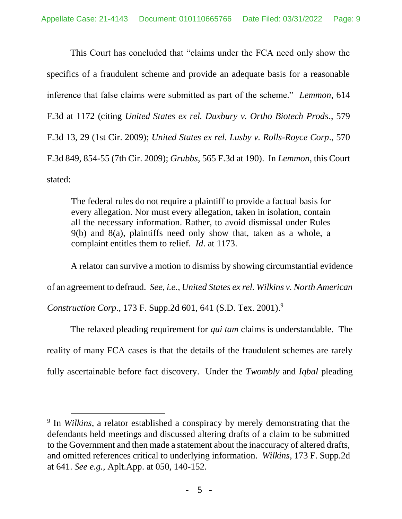This Court has concluded that "claims under the FCA need only show the specifics of a fraudulent scheme and provide an adequate basis for a reasonable inference that false claims were submitted as part of the scheme." *Lemmon*, 614 F.3d at 1172 (citing *United States ex rel. Duxbury v. Ortho Biotech Prods*., 579 F.3d 13, 29 (1st Cir. 2009); *United States ex rel. Lusby v. Rolls-Royce Corp*., 570 F.3d 849, 854-55 (7th Cir. 2009); *Grubbs*, 565 F.3d at 190). In *Lemmon*, this Court stated:

The federal rules do not require a plaintiff to provide a factual basis for every allegation. Nor must every allegation, taken in isolation, contain all the necessary information. Rather, to avoid dismissal under Rules 9(b) and 8(a), plaintiffs need only show that, taken as a whole, a complaint entitles them to relief. *Id*. at 1173.

A relator can survive a motion to dismiss by showing circumstantial evidence

of an agreement to defraud*. See, i.e., United States ex rel. Wilkins v. North American* 

*Construction Corp*., 173 F. Supp.2d 601, 641 (S.D. Tex. 2001). 9

The relaxed pleading requirement for *qui tam* claims is understandable. The reality of many FCA cases is that the details of the fraudulent schemes are rarely fully ascertainable before fact discovery. Under the *Twombly* and *Iqbal* pleading

<sup>9</sup> In *Wilkins*, a relator established a conspiracy by merely demonstrating that the defendants held meetings and discussed altering drafts of a claim to be submitted to the Government and then made a statement about the inaccuracy of altered drafts, and omitted references critical to underlying information. *Wilkins*, 173 F. Supp.2d at 641. *See e.g.,* Aplt.App. at 050, 140-152.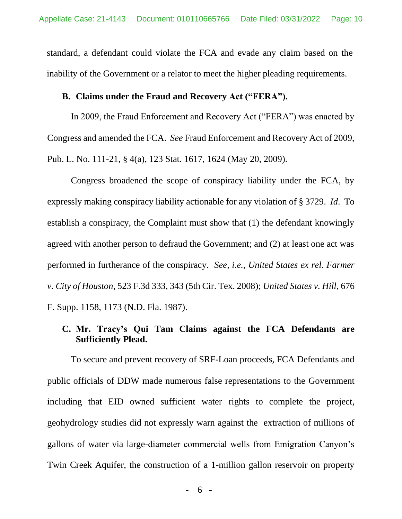standard, a defendant could violate the FCA and evade any claim based on the inability of the Government or a relator to meet the higher pleading requirements.

#### <span id="page-9-0"></span>**B. Claims under the Fraud and Recovery Act ("FERA").**

In 2009, the Fraud Enforcement and Recovery Act ("FERA") was enacted by Congress and amended the FCA. *See* Fraud Enforcement and Recovery Act of 2009, Pub. L. No. 111-21, § 4(a), 123 Stat. 1617, 1624 (May 20, 2009).

Congress broadened the scope of conspiracy liability under the FCA, by expressly making conspiracy liability actionable for any violation of § 3729. *Id*. To establish a conspiracy, the Complaint must show that (1) the defendant knowingly agreed with another person to defraud the Government; and (2) at least one act was performed in furtherance of the conspiracy. *See, i.e., United States ex rel. Farmer v. City of Houston*, 523 F.3d 333, 343 (5th Cir. Tex. 2008); *United States v. Hill*, 676 F. Supp. 1158, 1173 (N.D. Fla. 1987).

# <span id="page-9-1"></span>**C. Mr. Tracy's Qui Tam Claims against the FCA Defendants are Sufficiently Plead.**

To secure and prevent recovery of SRF-Loan proceeds, FCA Defendants and public officials of DDW made numerous false representations to the Government including that EID owned sufficient water rights to complete the project, geohydrology studies did not expressly warn against the extraction of millions of gallons of water via large-diameter commercial wells from Emigration Canyon's Twin Creek Aquifer, the construction of a 1-million gallon reservoir on property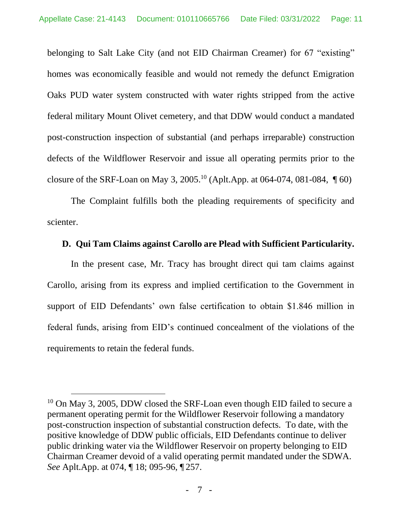belonging to Salt Lake City (and not EID Chairman Creamer) for 67 "existing" homes was economically feasible and would not remedy the defunct Emigration Oaks PUD water system constructed with water rights stripped from the active federal military Mount Olivet cemetery, and that DDW would conduct a mandated post-construction inspection of substantial (and perhaps irreparable) construction defects of the Wildflower Reservoir and issue all operating permits prior to the closure of the SRF-Loan on May 3, 2005.<sup>10</sup> (Aplt.App. at 064-074, 081-084,  $\P$  60)

The Complaint fulfills both the pleading requirements of specificity and scienter.

### <span id="page-10-0"></span>**D. Qui Tam Claims against Carollo are Plead with Sufficient Particularity.**

In the present case, Mr. Tracy has brought direct qui tam claims against Carollo, arising from its express and implied certification to the Government in support of EID Defendants' own false certification to obtain \$1.846 million in federal funds, arising from EID's continued concealment of the violations of the requirements to retain the federal funds.

 $10$  On May 3, 2005, DDW closed the SRF-Loan even though EID failed to secure a permanent operating permit for the Wildflower Reservoir following a mandatory post-construction inspection of substantial construction defects. To date, with the positive knowledge of DDW public officials, EID Defendants continue to deliver public drinking water via the Wildflower Reservoir on property belonging to EID Chairman Creamer devoid of a valid operating permit mandated under the SDWA. *See* Aplt.App. at 074, ¶ 18; 095-96, ¶ 257.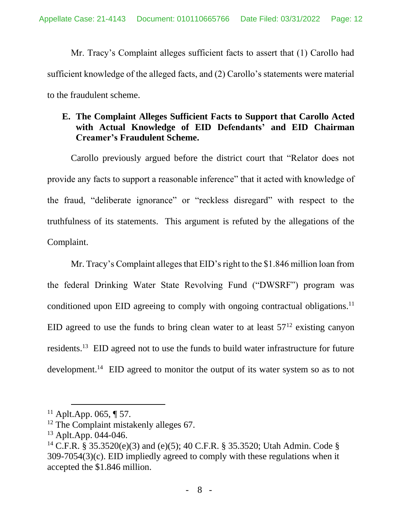Mr. Tracy's Complaint alleges sufficient facts to assert that (1) Carollo had sufficient knowledge of the alleged facts, and (2) Carollo's statements were material to the fraudulent scheme.

# <span id="page-11-0"></span>**E. The Complaint Alleges Sufficient Facts to Support that Carollo Acted with Actual Knowledge of EID Defendants' and EID Chairman Creamer's Fraudulent Scheme.**

Carollo previously argued before the district court that "Relator does not provide any facts to support a reasonable inference" that it acted with knowledge of the fraud, "deliberate ignorance" or "reckless disregard" with respect to the truthfulness of its statements. This argument is refuted by the allegations of the Complaint.

Mr. Tracy's Complaint alleges that EID's right to the \$1.846 million loan from the federal Drinking Water State Revolving Fund ("DWSRF") program was conditioned upon EID agreeing to comply with ongoing contractual obligations.<sup>11</sup> EID agreed to use the funds to bring clean water to at least  $57<sup>12</sup>$  existing canyon residents.<sup>13</sup> EID agreed not to use the funds to build water infrastructure for future development.<sup>14</sup> EID agreed to monitor the output of its water system so as to not

 $11$  Aplt.App. 065, ¶ 57.

<sup>&</sup>lt;sup>12</sup> The Complaint mistakenly alleges 67.

<sup>13</sup> Aplt.App. 044-046.

<sup>&</sup>lt;sup>14</sup> C.F.R. § 35.3520(e)(3) and (e)(5); 40 C.F.R. § 35.3520; Utah Admin. Code § 309-7054(3)(c). EID impliedly agreed to comply with these regulations when it accepted the \$1.846 million.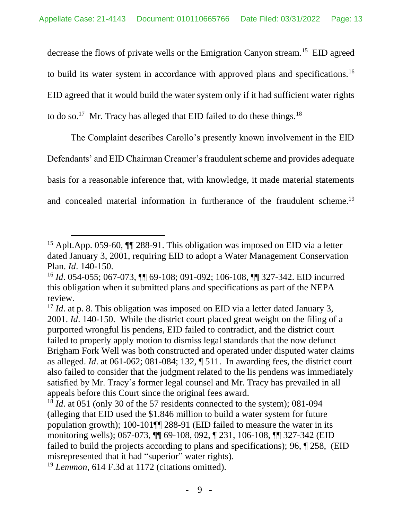decrease the flows of private wells or the Emigration Canyon stream.<sup>15</sup> EID agreed to build its water system in accordance with approved plans and specifications.<sup>16</sup> EID agreed that it would build the water system only if it had sufficient water rights to do so.<sup>17</sup> Mr. Tracy has alleged that EID failed to do these things.<sup>18</sup>

The Complaint describes Carollo's presently known involvement in the EID Defendants' and EID Chairman Creamer's fraudulent scheme and provides adequate basis for a reasonable inference that, with knowledge, it made material statements and concealed material information in furtherance of the fraudulent scheme.<sup>19</sup>

<sup>&</sup>lt;sup>15</sup> Aplt.App. 059-60,  $\P$  288-91. This obligation was imposed on EID via a letter dated January 3, 2001, requiring EID to adopt a Water Management Conservation Plan. *Id*. 140-150.

<sup>16</sup> *Id*. 054-055; 067-073, ¶¶ 69-108; 091-092; 106-108, ¶¶ 327-342. EID incurred this obligation when it submitted plans and specifications as part of the NEPA review.

<sup>&</sup>lt;sup>17</sup> *Id*. at p. 8. This obligation was imposed on EID via a letter dated January 3, 2001. *Id*. 140-150. While the district court placed great weight on the filing of a purported wrongful lis pendens, EID failed to contradict, and the district court failed to properly apply motion to dismiss legal standards that the now defunct Brigham Fork Well was both constructed and operated under disputed water claims as alleged. *Id*. at 061-062; 081-084; 132, ¶ 511. In awarding fees, the district court also failed to consider that the judgment related to the lis pendens was immediately satisfied by Mr. Tracy's former legal counsel and Mr. Tracy has prevailed in all appeals before this Court since the original fees award.

<sup>&</sup>lt;sup>18</sup> *Id*. at 051 (only 30 of the 57 residents connected to the system); 081-094 (alleging that EID used the \$1.846 million to build a water system for future population growth); 100-101¶¶ 288-91 (EID failed to measure the water in its monitoring wells); 067-073, ¶¶ 69-108, 092, ¶ 231, 106-108, ¶¶ 327-342 (EID failed to build the projects according to plans and specifications); 96, ¶ 258, (EID misrepresented that it had "superior" water rights).

<sup>&</sup>lt;sup>19</sup> *Lemmon*, 614 F.3d at 1172 (citations omitted).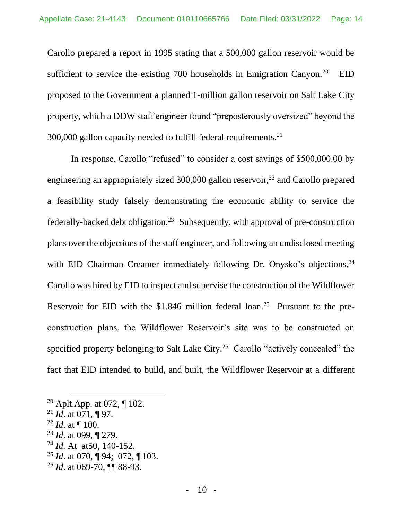Carollo prepared a report in 1995 stating that a 500,000 gallon reservoir would be sufficient to service the existing 700 households in Emigration Canyon.<sup>20</sup> EID proposed to the Government a planned 1-million gallon reservoir on Salt Lake City property, which a DDW staff engineer found "preposterously oversized" beyond the 300,000 gallon capacity needed to fulfill federal requirements.<sup>21</sup>

In response, Carollo "refused" to consider a cost savings of \$500,000.00 by engineering an appropriately sized  $300,000$  gallon reservoir,<sup>22</sup> and Carollo prepared a feasibility study falsely demonstrating the economic ability to service the federally-backed debt obligation.<sup>23</sup> Subsequently, with approval of pre-construction plans over the objections of the staff engineer, and following an undisclosed meeting with EID Chairman Creamer immediately following Dr. Onysko's objections,<sup>24</sup> Carollo was hired by EID to inspect and supervise the construction of the Wildflower Reservoir for EID with the \$1.846 million federal  $\alpha$  loan.<sup>25</sup> Pursuant to the preconstruction plans, the Wildflower Reservoir's site was to be constructed on specified property belonging to Salt Lake City.<sup>26</sup> Carollo "actively concealed" the fact that EID intended to build, and built, the Wildflower Reservoir at a different

- <sup>22</sup> *Id*. at ¶ 100.
- <sup>23</sup> *Id*. at 099, ¶ 279.
- <sup>24</sup> *Id.* At at50, 140-152.
- <sup>25</sup> *Id*. at 070, ¶ 94; 072, ¶ 103.
- <sup>26</sup> *Id*. at 069-70, ¶¶ 88-93.

<sup>&</sup>lt;sup>20</sup> Aplt.App. at 072,  $\P$  102.

<sup>21</sup> *Id*. at 071, ¶ 97.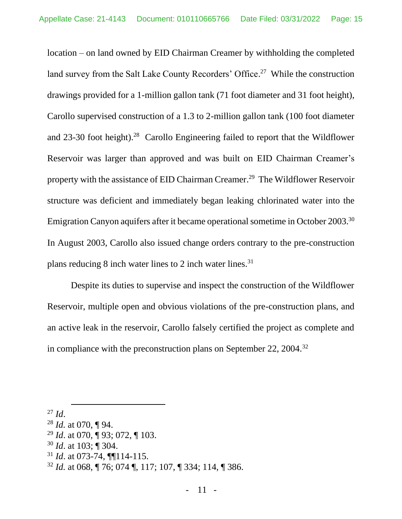location – on land owned by EID Chairman Creamer by withholding the completed land survey from the Salt Lake County Recorders' Office.<sup>27</sup> While the construction drawings provided for a 1-million gallon tank (71 foot diameter and 31 foot height), Carollo supervised construction of a 1.3 to 2-million gallon tank (100 foot diameter and 23-30 foot height).<sup>28</sup> Carollo Engineering failed to report that the Wildflower Reservoir was larger than approved and was built on EID Chairman Creamer's property with the assistance of EID Chairman Creamer. 29 The Wildflower Reservoir structure was deficient and immediately began leaking chlorinated water into the Emigration Canyon aquifers after it became operational sometime in October 2003.<sup>30</sup> In August 2003, Carollo also issued change orders contrary to the pre-construction plans reducing 8 inch water lines to 2 inch water lines. $31$ 

Despite its duties to supervise and inspect the construction of the Wildflower Reservoir, multiple open and obvious violations of the pre-construction plans, and an active leak in the reservoir, Carollo falsely certified the project as complete and in compliance with the preconstruction plans on September 22, 2004.<sup>32</sup>

- <sup>29</sup> *Id*. at 070, ¶ 93; 072, ¶ 103.
- <sup>30</sup> *Id*. at 103; ¶ 304.
- <sup>31</sup> *Id*. at 073-74, ¶¶114-115.

 $^{27}$  *Id.* 

<sup>28</sup> *Id.* at 070, ¶ 94.

<sup>32</sup> *Id.* at 068, ¶ 76; 074 ¶, 117; 107, ¶ 334; 114, ¶ 386.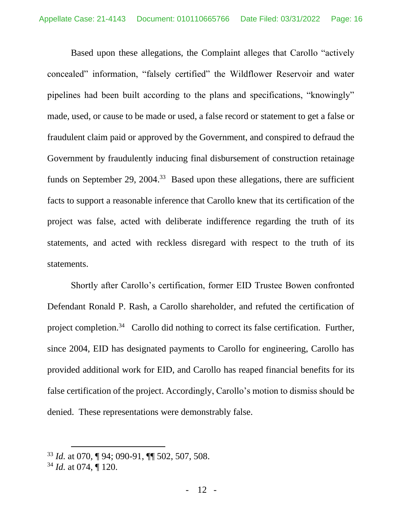Based upon these allegations, the Complaint alleges that Carollo "actively concealed" information, "falsely certified" the Wildflower Reservoir and water pipelines had been built according to the plans and specifications, "knowingly" made, used, or cause to be made or used, a false record or statement to get a false or fraudulent claim paid or approved by the Government, and conspired to defraud the Government by fraudulently inducing final disbursement of construction retainage funds on September 29, 2004.<sup>33</sup> Based upon these allegations, there are sufficient facts to support a reasonable inference that Carollo knew that its certification of the project was false, acted with deliberate indifference regarding the truth of its statements, and acted with reckless disregard with respect to the truth of its statements.

Shortly after Carollo's certification, former EID Trustee Bowen confronted Defendant Ronald P. Rash, a Carollo shareholder, and refuted the certification of project completion.<sup>34</sup> Carollo did nothing to correct its false certification. Further, since 2004, EID has designated payments to Carollo for engineering, Carollo has provided additional work for EID, and Carollo has reaped financial benefits for its false certification of the project. Accordingly, Carollo's motion to dismiss should be denied. These representations were demonstrably false.

<sup>33</sup> *Id.* at 070, ¶ 94; 090-91, ¶¶ 502, 507, 508.

<sup>34</sup> *Id.* at 074, ¶ 120.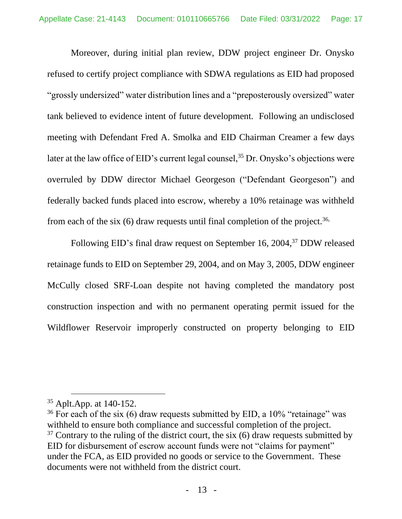Moreover, during initial plan review, DDW project engineer Dr. Onysko refused to certify project compliance with SDWA regulations as EID had proposed "grossly undersized" water distribution lines and a "preposterously oversized" water tank believed to evidence intent of future development. Following an undisclosed meeting with Defendant Fred A. Smolka and EID Chairman Creamer a few days later at the law office of EID's current legal counsel,<sup>35</sup> Dr. Onysko's objections were overruled by DDW director Michael Georgeson ("Defendant Georgeson") and federally backed funds placed into escrow, whereby a 10% retainage was withheld from each of the six  $(6)$  draw requests until final completion of the project.<sup>36,</sup>

Following EID's final draw request on September 16, 2004,<sup>37</sup> DDW released retainage funds to EID on September 29, 2004, and on May 3, 2005, DDW engineer McCully closed SRF-Loan despite not having completed the mandatory post construction inspection and with no permanent operating permit issued for the Wildflower Reservoir improperly constructed on property belonging to EID

<sup>35</sup> Aplt.App. at 140-152.

 $36$  For each of the six (6) draw requests submitted by EID, a 10% "retainage" was withheld to ensure both compliance and successful completion of the project.  $37$  Contrary to the ruling of the district court, the six (6) draw requests submitted by EID for disbursement of escrow account funds were not "claims for payment" under the FCA, as EID provided no goods or service to the Government. These documents were not withheld from the district court.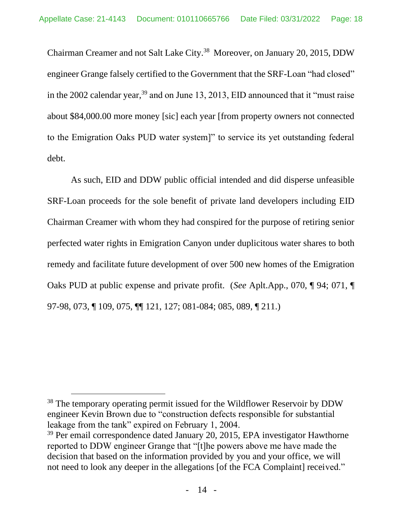Chairman Creamer and not Salt Lake City.<sup>38</sup> Moreover, on January 20, 2015, DDW engineer Grange falsely certified to the Government that the SRF-Loan "had closed" in the 2002 calendar year,  $39$  and on June 13, 2013, EID announced that it "must raise" about \$84,000.00 more money [sic] each year [from property owners not connected to the Emigration Oaks PUD water system]" to service its yet outstanding federal debt.

As such, EID and DDW public official intended and did disperse unfeasible SRF-Loan proceeds for the sole benefit of private land developers including EID Chairman Creamer with whom they had conspired for the purpose of retiring senior perfected water rights in Emigration Canyon under duplicitous water shares to both remedy and facilitate future development of over 500 new homes of the Emigration Oaks PUD at public expense and private profit. (*See* Aplt.App., 070, ¶ 94; 071, ¶ 97-98, 073, ¶ 109, 075, ¶¶ 121, 127; 081-084; 085, 089, ¶ 211.)

<sup>&</sup>lt;sup>38</sup> The temporary operating permit issued for the Wildflower Reservoir by DDW engineer Kevin Brown due to "construction defects responsible for substantial leakage from the tank" expired on February 1, 2004.

<sup>&</sup>lt;sup>39</sup> Per email correspondence dated January 20, 2015, EPA investigator Hawthorne reported to DDW engineer Grange that "[t]he powers above me have made the decision that based on the information provided by you and your office, we will not need to look any deeper in the allegations [of the FCA Complaint] received."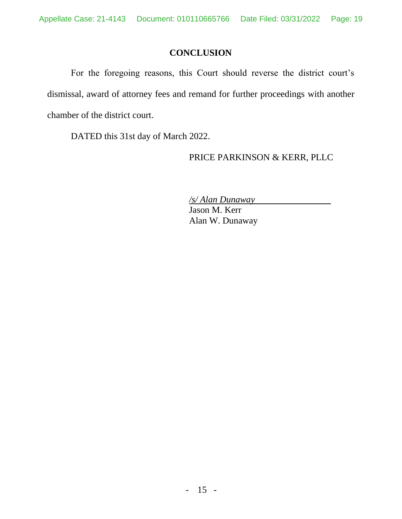# **CONCLUSION**

<span id="page-18-0"></span>For the foregoing reasons, this Court should reverse the district court's dismissal, award of attorney fees and remand for further proceedings with another chamber of the district court.

DATED this 31st day of March 2022.

### PRICE PARKINSON & KERR, PLLC

*/s/ Alan Dunaway*

Jason M. Kerr Alan W. Dunaway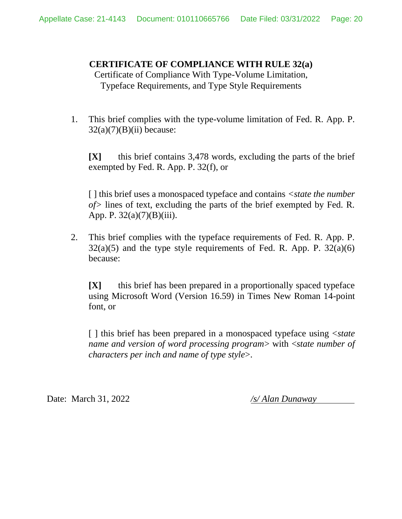### **CERTIFICATE OF COMPLIANCE WITH RULE 32(a)**

Certificate of Compliance With Type-Volume Limitation, Typeface Requirements, and Type Style Requirements

1. This brief complies with the type-volume limitation of Fed. R. App. P.  $32(a)(7)(B)(ii)$  because:

**[X]** this brief contains 3,478 words, excluding the parts of the brief exempted by Fed. R. App. P. 32(f), or

[ ] this brief uses a monospaced typeface and contains *<state the number of>* lines of text, excluding the parts of the brief exempted by Fed. R. App. P. 32(a)(7)(B)(iii).

2. This brief complies with the typeface requirements of Fed. R. App. P.  $32(a)(5)$  and the type style requirements of Fed. R. App. P.  $32(a)(6)$ because:

**[X]** this brief has been prepared in a proportionally spaced typeface using Microsoft Word (Version 16.59) in Times New Roman 14-point font, or

[ ] this brief has been prepared in a monospaced typeface using <*state name and version of word processing program*> with <*state number of characters per inch and name of type style*>.

Date: March 31, 2022 */s/ Alan Dunaway*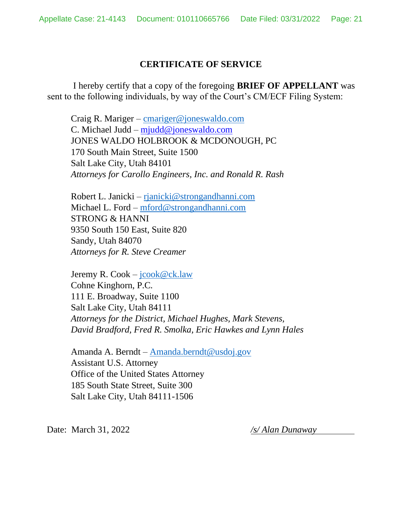### **CERTIFICATE OF SERVICE**

I hereby certify that a copy of the foregoing **BRIEF OF APPELLANT** was sent to the following individuals, by way of the Court's CM/ECF Filing System:

Craig R. Mariger – [cmariger@joneswaldo.com](mailto:cmariger@joneswaldo.com) C. Michael Judd – mjudd@joneswaldo.com JONES WALDO HOLBROOK & MCDONOUGH, PC 170 South Main Street, Suite 1500 Salt Lake City, Utah 84101 *Attorneys for Carollo Engineers, Inc. and Ronald R. Rash* 

Robert L. Janicki – [rjanicki@strongandhanni.com](mailto:rjanicki@strongandhanni.com) Michael L. Ford – [mford@strongandhanni.com](mailto:mford@strongandhanni.com) STRONG & HANNI 9350 South 150 East, Suite 820 Sandy, Utah 84070 *Attorneys for R. Steve Creamer* 

Jeremy R. Cook –  $\text{jcook}\ \lll Qck.$ law Cohne Kinghorn, P.C. 111 E. Broadway, Suite 1100 Salt Lake City, Utah 84111 *Attorneys for the District, Michael Hughes, Mark Stevens, David Bradford, Fred R. Smolka, Eric Hawkes and Lynn Hales* 

Amanda A. Berndt – [Amanda.berndt@usdoj.gov](mailto:Amanda.berndt@usdoj.gov) Assistant U.S. Attorney Office of the United States Attorney 185 South State Street, Suite 300 Salt Lake City, Utah 84111-1506

Date: March 31, 2022 */s/ Alan Dunaway*